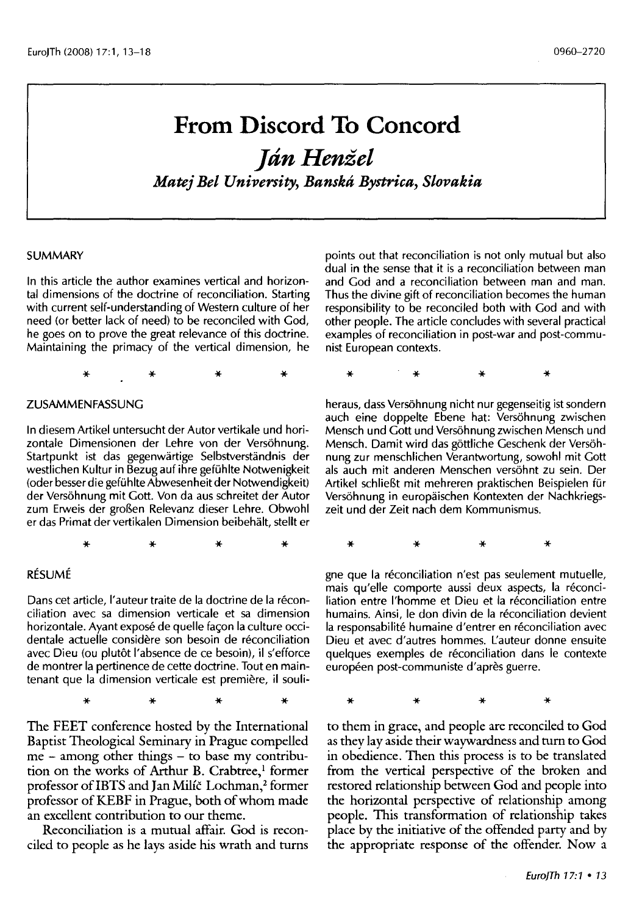# **From Discord To Concord**

# *]dnHenzel Matej Bel University, Banskti Bystrica, Slovakia*

#### **SUMMARY**

In this article the author examines vertical and horizontal dimensions of the doctrine of reconciliation. Starting with current self-understanding of Western culture of her need (or better lack of need) to be reconciled with God, he goes on to prove the great relevance of this doctrine. Maintaining the primacy of the vertical dimension, he

\* \* \* \*

#### ZUSAMMENFASSUNG

In diesem Artikel untersucht der Autor vertikale und horizontale Dimensionen der Lehre von der Versöhnung. Startpunkt ist das gegenwärtige Selbstverständnis der westlichen Kultur in Bezug auf ihre gefühlte Notwenigkeit (oder besser die gefi.ihlte Abwesenheit der Notwendigkeit) der Versöhnung mit Gott. Von da aus schreitet der Autor zum Erweis der groBen Relevanz dieser Lehre. Obwohl er das Primat der vertikalen Dimension beibehalt, stellt er

\* \* \* \*

#### RESUME

Dans cet article, l'auteur traite de la doctrine de la réconciliation avec sa dimension verticale et sa dimension horizontale. Ayant exposé de quelle façon la culture occidentale actuelle considere son besoin de reconciliation avec Dieu (ou plutôt l'absence de ce besoin), il s'efforce de montrer la pertinence de cette doctrine. Tout en maintenant que la dimension verticale est première, il souli-

\* \* \* \*

The FEET conference hosted by the International Baptist Theological Seminary in Prague compelled me - among other things - to base my contribution on the works of Arthur B. Crabtree,<sup>1</sup> former professor of IBTS and Jan Milíč Lochman,<sup>2</sup> former professor of KEBF in Prague, both of whom made an excellent contribution to our theme.

Reconciliation is a mutual affair. God is reconciled to people as he lays aside his wrath and turns points out that reconciliation is not only mutual but also dual in the sense that it is a reconciliation between man and God and a reconciliation between man and man. Thus the divine gift of reconciliation becomes the human responsibility to be reconciled both with God and with other people. The article concludes with several practical examples of reconciliation in post-war and post-communist European contexts.

\* \* \* \*

heraus, dass Vers6hnung nicht nur gegenseitig ist sondern auch eine doppelte Ebene hat: Versohnung zwischen Mensch und Gott und Versohnungzwischen Mensch und Mensch. Damit wird das gottliche Geschenk der Versohnung zur menschlichen Verantwortung, sowohl mit Gott als auch mit anderen Menschen versohnt zu sein. Der Artikel schlieBt mit mehreren praktischen Beispielen fur Versohnung in europaischen Kontexten der Nachkriegszeit und der Zeit nach dem Kommunismus.

\* \* \* \*

gne que la réconciliation n'est pas seulement mutuelle, mais qu'elle comporte aussi deux aspects, la reconciliation entre l'homme et Dieu et la réconciliation entre humains. Ainsi, le don divin de la réconciliation devient la responsabilité humaine d'entrer en réconciliation avec Dieu et avec d'autres hommes. L'auteur donne ensuite quelques exemples de reconciliation dans le contexte européen post-communiste d'après guerre.

\* \* \* \*

to them in grace, and people are reconciled to God as they lay aside their waywardness and turn to God in obedience. Then this process is to be translated from the vertical perspective of the broken and restored relationship between God and people into the horizontal perspective of relationship among people. This transformation of relationship takes place by the initiative of the offended party and by the appropriate response of the offender. Now a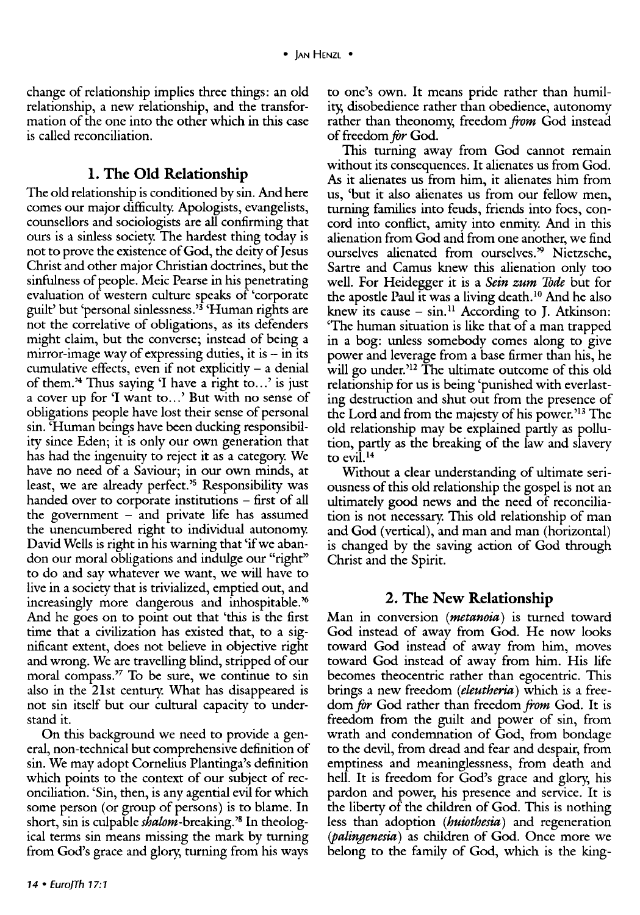change of relationship implies three things: an old relationship, a new relationship, and the transformation of the one into the other which in this case is called reconciliation.

#### **l. The Old Relationship**

The old relationship is conditioned by sin. And here comes our major difficulty. Apologists, evangelists, counsellors and sociologists are all confirming that ours is a sinless society. The hardest thing today is not to prove the existence of God, the deity of Jesus Christ and other major Christian doctrines, but the sinfulness of people. Meic Pearse in his penetrating evaluation of western culture speaks of 'corporate guilt' but 'personal sinlessness.'3 'Human rights are not the correlative of obligations, as its defenders might claim, but the converse; instead of being a mirror-image way of expressing duties, it is  $-$  in its cumulative effects, even if not explicitly  $-$  a denial of them.<sup>24</sup> Thus saying 'I have a right to...' is just a cover up for 'I want to...' But with no sense of obligations people have lost their sense of personal sin. 'Human beings have been ducking responsibility since Eden; it is only our own generation that has had the ingenuity to reject it as a category. We have no need of a Saviour; in our own minds, at least, we are already perfect.'5 Responsibility was handed over to corporate institutions - first of all the government  $-$  and private life has assumed the unencumbered right to individual autonomy. David Wells is right in his warning that 'if we abandon our moral obligations and indulge our "right" to do and say whatever we want, we will have to live in a society that is trivialized, emptied out, and increasingly more dangerous and inhospitable.'6 And he goes on to point out that 'this is the first time that a civilization has existed that, to a significant extent, does not believe in objective right and wrong. We are travelling blind, stripped of our moral compass.'7 To be sure, we continue to sin also in the 21st century. What has disappeared is not sin itself but our cultural capacity to understand it.

On this background we need to provide a general, non-technical but comprehensive definition of sin. We may adopt Cornelius Plantinga's definition which points to the context of our subject of reconciliation. 'Sin, then, is any agential evil for which some person (or group of persons) is to blame. In short, sin is culpable shalom-breaking.'8 In theological terms sin means missing the mark by turning from God's grace and glory, turning from his ways

to one's own. It means pride rather than humility, disobedience rather than obedience, autonomy rather than theonomy, freedom *from* God instead of freedom *for* God.

This turning away from God cannot remain without its consequences. It alienates us from God. As it alienates us from him, it alienates him from us, 'but it also alienates us from our fellow men, turning families into feuds, friends into foes, concord into conflict, amity into enmity. And in this alienation from God and from one another, we find ourselves alienated from ourselves.<sup>39</sup> Nietzsche, Sartre and Camus knew this alienation only too well. For Heidegger it is a *Sein zum* Tode but for the apostle Paul it was a living death. 10 And he also knew its cause  $-$  sin.<sup>11</sup> According to J. Atkinson: 'The human situation is like that of a man trapped in a bog: unless somebody comes along to give power and leverage from a base firmer than his, he will go under.<sup>212</sup> The ultimate outcome of this old relationship for us is being 'punished with everlasting destruction and shut out from the presence of the Lord and from the majesty of his power.<sup>13</sup> The old relationship may be explained partly as pollution, partly as the breaking of the law and slavery to evil.<sup>14</sup>

Without a clear understanding of ultimate seriousness of this old relationship the gospel is not an ultimately good news and the need of reconciliation is not necessary. This old relationship of man and God (vertical), and man and man (horizontal) is changed by the saving action of God through Christ and the Spirit.

### **2. The New Relationship**

Man in conversion ( *metanoia)* is turned toward God instead of away from God. He now looks toward God instead of away from him, moves toward God instead of away from him. His life becomes theocentric rather than egocentric. This brings a new freedom *(eleutheria)* which is a freedom for God rather than freedom *from* God. It is freedom from the guilt and power of sin, from wrath and condemnation of God, from bondage to the devil, from dread and fear and despair, from emptiness and meaninglessness, from death and hell. It is freedom for God's grace and glory, his pardon and power, his presence and service. It is the liberty of the children of God. This is nothing less than adoption *(huiothesia)* and regeneration *(palingenesia)* as children of God. Once more we belong to the family of God, which is the king-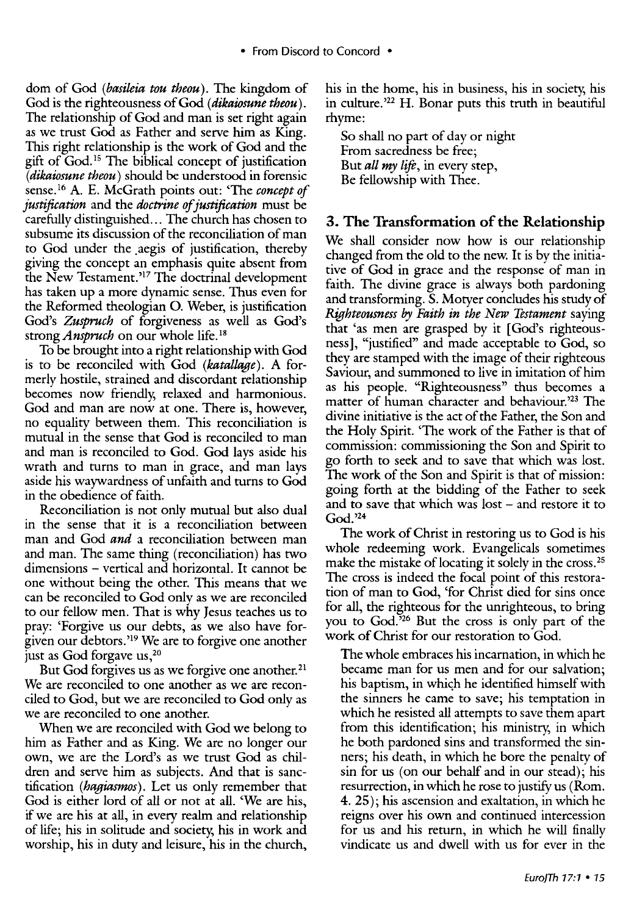dom of God (*basileia tou theou*). The kingdom of God is the righteousness of God *(dikaiosune theou).*  The relationship of God and man is set right again as we trust God as Father and serve him as King. This right relationship is the work of God and the gift of God. 15 The biblical concept of justification *(dikaiosune theou)* should be understood in forensic sense. 16 A. E. McGrath points out: 'The *concept of justification* and the *doctrine of justification* must be carefully distinguished ... The church has chosen to subsume its discussion of the reconciliation of man to God under the aegis of justification, thereby giving the concept an emphasis quite absent from the New Testament.<sup>317</sup> The doctrinal development has taken up a more dynamic sense. Thus even for the Reformed theologian 0. Weber, is justification God's *Zuspruch* of forgiveness as well as God's strong *Anspruch* on our whole life.<sup>18</sup>

To be brought into a right relationship with God is to be reconciled with God *(katallage).* A formerly hostile, strained and discordant relationship becomes now friendly, relaxed and harmonious. God and man are now at one. There is, however, no equality between them. This reconciliation is mutual in the sense that God is reconciled to man and man is reconciled to God. God lays aside his wrath and turns to man in grace, and man lays aside his waywardness of unfaith and turns to God in the obedience of faith.

Reconciliation is not only mutual but also dual in the sense that it is a reconciliation between man and God *and* a reconciliation between man and man. The same thing (reconciliation) has two dimensions – vertical and horizontal. It cannot be one without being the other. This means that we can be reconciled to God only as we are reconciled to our fellow men. That is why Jesus teaches us to pray: 'Forgive us our debts, as we also have forgiven our debtors.'19 We are to forgive one another just as God forgave us, 20

But God forgives us as we forgive one another.<sup>21</sup> We are reconciled to one another as we are reconciled to God, but we are reconciled to God only as we are reconciled to one another.

When we are reconciled with God we belong to him as Father and as King. We are no longer our own, we are the Lord's as we trust God as children and serve him as subjects. And that is sanctification *(hagiasmos).* Let us only remember that God is either lord of all or not at all. 'We are his, if we are his at all, in every realm and relationship of life; his in solitude and society, his in work and worship, his in duty and leisure, his in the church, his in the home, his in business, his in society, his in culture. ' 22 H. Bonar puts this truth in beautiful rhyme:

So shall no part of day or night From sacredness be free; But *all my lift,* in every step, Be fellowship with Thee.

## **3. The Transformation of the Relationship**

We shall consider now how is our relationship changed from the old to the new. It is by the initiative of God in grace and the response of man in faith. The divine grace is always both pardoning and transforming. S. Motyer concludes his study of *Righteousness* by *Faith in the New Testament* saying that 'as men are grasped by it [God's righteousness], "justified" and made acceptable to God, so they are stamped with the image of their righteous Saviour, and summoned to live in imitation of him as his people. "Righteousness" thus becomes a matter of human character and behaviour.'23 The divine initiative is the act of the Father, the Son and the Holy Spirit. 'The work of the Father is that of commission: commissioning the Son and Spirit to go forth to seek and to save that which was lost. The work of the Son and Spirit is that of mission: going forth at the bidding of the Father to seek and to save that which was lost – and restore it to God.'24

The work of Christ in restoring us to God is his whole redeeming work. Evangelicals sometimes make the mistake of locating it solely in the cross.<sup>25</sup> The cross is indeed the focal point of this restoration of man to God, 'for Christ died for sins once for all, the righteous for the unrighteous, to bring you to God.'26 But the cross is only part of the work of Christ for our restoration to God.

The whole embraces his incarnation, in which he became man for us men and for our salvation; his baptism, in which he identified himself with the sinners he came to save; his temptation in which he resisted all attempts to save them apart from this identification; his ministry, in which he both pardoned sins and transformed the sinners; his death, in which he bore the penalty of sin for us (on our behalf and in our stead); his resurrection, in which he rose to justify us (Rom. 4. 25); his ascension and exaltation, in which he reigns over his own and continued intercession for us and his return, in which he will finally vindicate us and dwell with us for ever in the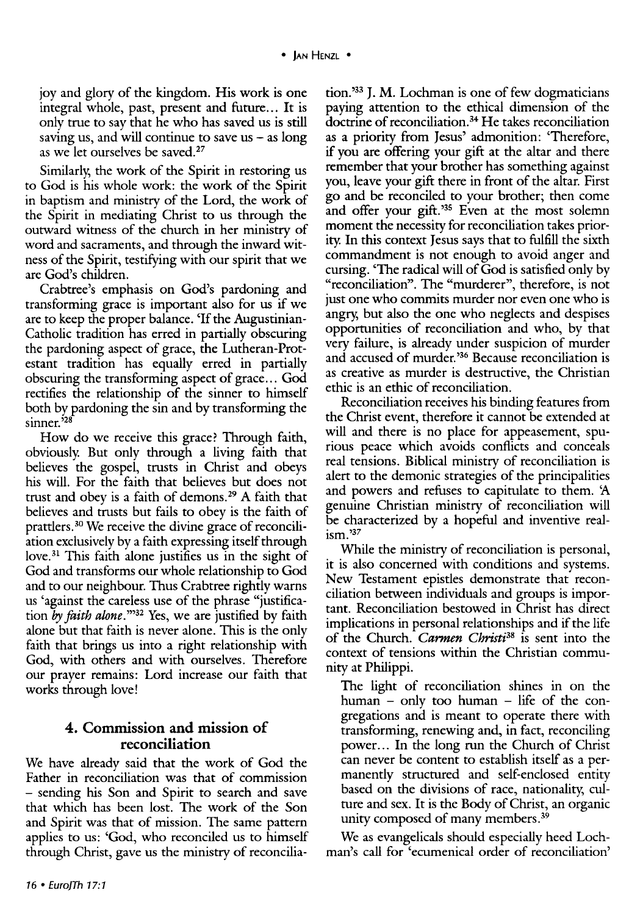joy and glory of the kingdom. His work is one integral whole, past, present and future... It is only true to say that he who has saved *us* is still saving us, and will continue to save *us* - as long as we let ourselves be saved.<sup>27</sup>

Similarly, the work of the Spirit in restoring us to God is his whole work: the work of the Spirit in baptism and ministry of the Lord, the work of the Spirit in mediating Christ to *us* through the outward witness of the church in her ministry of word and sacraments, and through the inward witness of the Spirit, testifying with our spirit that we are God's children.

Crabtree's emphasis on God's pardoning and transforming grace is important also for *us* if we are to keep the proper balance. 'If the Augustinian-Catholic tradition has erred in partially obscuring the pardoning aspect of grace, the Lutheran-Protestant tradition has equally erred in partially obscuring the transforming aspect of grace ... God rectifies the relationship of the sinner to himself both by pardoning the sin and by transforming the sinner.<sup>528</sup>

How do we receive this grace? Through faith, obviously. But only through a living faith that believes the gospel, trusts in Christ and obeys his will. For the faith that believes but does not trust and obey is a faith of demons.<sup>29</sup> A faith that believes and trusts but fails to obey is the faith of prattlers. 30 We receive the divine grace of reconciliation exclusively by a faith expressing itself through love.<sup>31</sup> This faith alone justifies us in the sight of God and transforms our whole relationship to God and to our neighbour. Thus Crabtree rightly warns us 'against the careless use of the phrase "justification by *faith alone*.<sup>332</sup> Yes, we are justified by faith alone but that faith is never alone. This is the only faith that brings us into a right relationship with God, with others and with ourselves. Therefore our prayer remains: Lord increase our faith that works through love!

#### **4. Commission and mission of reconciliation**

We have already said that the work of God the Father in reconciliation was that of commission - sending his Son and Spirit to search and save that which has been lost. The work of the Son and Spirit was that of mission. The same pattern applies to us: 'God, who reconciled us to himself through Christ, gave us the ministry of reconcilia-

tion. ' <sup>33</sup>**J.** M. Lochman is one of few dogmaticians paying attention to the ethical dimension of the doctrine of reconciliation.<sup>34</sup> He takes reconciliation as a priority from Jesus' admonition: 'Therefore, if you are offering your gift at the altar and there remember that your brother has something against you, leave your gift there in front of the altar. First go and be reconciled to your brother; then come and offer your gift.<sup>35</sup> Even at the most solemn moment the necessity for reconciliation takes priority. In this context Jesus says that to fulfill the sixth commandment is not enough to avoid anger and cursing. 'The radical will of God is satisfied only by "reconciliation". The "murderer", therefore, is not just one who commits murder nor even one who is angry, but also the one who neglects and despises opportunities of reconciliation and who, by that very failure, is already under suspicion of murder and accused of murder.'36 Because reconciliation is as creative as murder is destructive, the Christian ethic is an ethic of reconciliation.

Reconciliation receives his binding features from the Christ event, therefore it cannot be extended at will and there is no place for appeasement, spurious peace which avoids conflicts and conceals real tensions. Biblical ministry of reconciliation is alert to the demonic strategies of the principalities and powers and refuses to capitulate to them. A genuine Christian ministry of reconciliation will be characterized by a hopeful and inventive realism.'37

While the ministry of reconciliation is personal, it is also concerned with conditions and systems. New Testament epistles demonstrate that reconciliation between individuals and groups is important. Reconciliation bestowed in Christ has direct implications in personal relationships and if the life of the Church. *Carmen Christi38* is sent into the context of tensions within the Christian community at Philippi.

The light of reconciliation shines in on the human - only too human - life of the congregations and is meant to operate there with transforming, renewing and, in fact, reconciling power ... In the long run the Church of Christ can never be content to establish itself as a permanently structured and self-enclosed entity based on the divisions of race, nationality; culture and sex. It is the Body of Christ, an organic unity composed of many members. 39

We as evangelicals should especially heed Lochman's call for 'ecumenical order of reconciliation'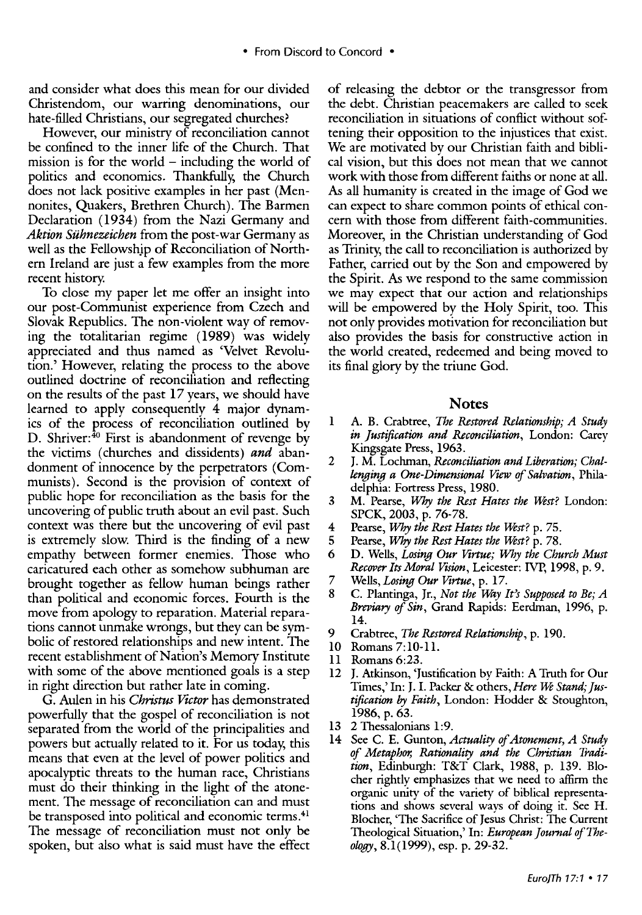and consider what does this mean for our divided Christendom, our warring denominations, our hate-filled Christians, our segregated churches?

However, our ministry of reconciliation cannot be confined to the inner life of the Church. That mission is for the world  $-$  including the world of politics and economics. Thankfully, the Church does not lack positive examples in her past (Mennonites, Quakers, Brethren Church). The Barmen Declaration (1934) from the Nazi Germany and *Aktion Suhnezeichen* from the post-war Germany as well as the Fellowship of Reconciliation of Northern Ireland are just a few examples from the more recent history.

To close my paper let me offer an insight into our post-Communist experience from Czech and Slovak Republics. The non-violent way of removing the totalitarian regime (1989) was widely appreciated and thus named as 'Velvet Revolution.' However, relating the process to the above outlined doctrine of reconciliation and reflecting on the results of the past 17 years, we should have learned to apply consequently 4 major dynamics of the process of reconciliation outlined by D. Shriver:<sup>40</sup> First is abandonment of revenge by the victims (churches and dissidents) *and* abandonment of innocence by the perpetrators (Communists). Second is the provision of context of public hope for reconciliation as the basis for the uncovering of public truth about an evil past. Such context was there but the uncovering of evil past is extremely slow. Third is the finding of a new empathy between former enemies. Those who caricatured each other as somehow subhuman are brought together as fellow human beings rather than political and economic forces. Fourth is the move from apology to reparation. Material reparations cannot unmake wrongs, but they can be symbolic of restored relationships and new intent. The recent establishment of Nation's Memory Institute with some of the above mentioned goals is a step in right direction but rather late in coming.

G. Aulen in his *Christus Victor* has demonstrated powerfully that the gospel of reconciliation is not separated from the world of the principalities and powers but actually related to it. For us today, this means that even at the level of power politics and apocalyptic threats to the human race, Christians must do their thinking in the light of the atonement. The message of reconciliation can and must be transposed into political and economic terms.<sup>41</sup> The message of reconciliation must not only be spoken, but also what is said must have the effect of releasing the debtor or the transgressor from the debt. Christian peacemakers are called to seek reconciliation in situations of conflict without softening their opposition to the injustices that exist. We are motivated bv our Christian faith and biblical vision, but this does not mean that we cannot work with those from different faiths or none at all. As all humanity is created in the image of God we can expect to share common points of ethical concern with those from different faith-communities. Moreover, in the Christian understanding of God as Trinity, the call to reconciliation is authorized by Father, carried out by the Son and empowered by the Spirit. As we respond to the same commission we may expect that our action and relationships will be empowered by the Holy Spirit, too. This not only provides motivation for reconciliation but also provides the basis for constructive action in the world created, redeemed and being moved to its final glory by the triune God.

#### **Notes**

- 1 A. B. Crabtree, *The Restored Relationship; A Study in justification and Reconciliation,* London: Carey Kingsgate Press, 1963.
- 2 J. M. Lochman, *Reconciliation and Liberation; Challenging a One-Dimensional Vzew of Salvation,* Philadelphia: Fortress Press, 1980.
- 3 M. Pearse, *Why the Rest Hates the West?* London: SPCK, 2003, p. 76-78.
- 4 Pearse, *Why the Rest Hates the Ufst?* p. 75.
- 5 Pearse, *Why the Rest Hates the Ufst?* p. 78.
- 6 D. Wells, *Losing Our Virtue; Why the Church Must Recover Its Moral Vtsion,* Leicester: IVP, 1998, p. 9.
- 7 Wells, *Losing Our Virtue,* p. 17.
- 8 C. Plantinga, Jr., *Not the Way It's Supposed to Be; A Breviary of Sin,* Grand Rapids: Eerdman, 1996, p. 14.
- 9 Crabtree, *The Restored Relationship,* p. 190.
- 10 Romans 7:10-ll.
- ll Romans 6:23.
- 12 J. Atkinson, 'Justification by Faith: A Truth for Our Times,' In: J. I. Packer & others, *Here We Stand; Justification* by *Faith,* London: Hodder & Stoughton, 1986, p. 63.
- 13 2 Thessalonians 1:9.
- 14 See C. E. Gunton, *Actuality of Atonement, A Study of Metaphor, Rationality and the Christian Tradition,* Edinburgh: T&T Clark, 1988, p. 139. Blocher rightly emphasizes that we need to affirm the organic unity of the variety of biblical representations and shows several ways of doing it. See H. Blocher, 'The Sacrifice of Jesus Christ: The Current Theological Situation,' In: *European journal of Theology,* 8.1(1999), esp. p. 29-32.